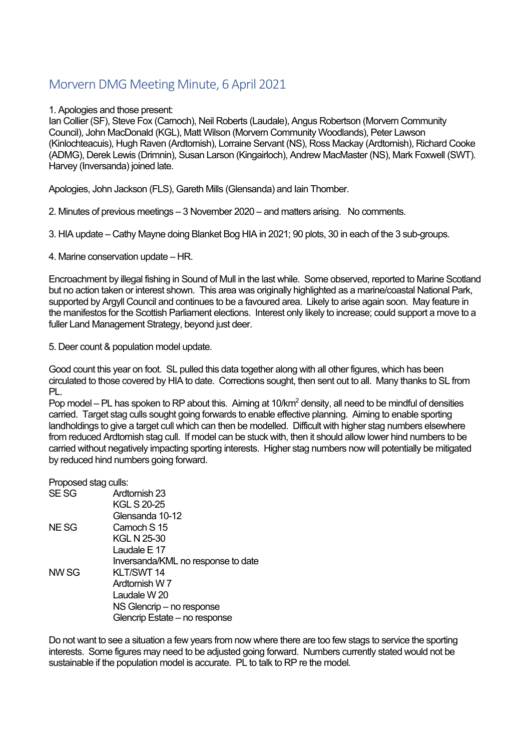# Morvern DMG Meeting Minute, 6 April 2021

## 1. Apologies and those present:

Ian Collier (SF), Steve Fox (Carnoch), Neil Roberts (Laudale), Angus Robertson (Morvern Community Council), John MacDonald (KGL), Matt Wilson (Morvern Community Woodlands), Peter Lawson (Kinlochteacuis), Hugh Raven (Ardtornish), Lorraine Servant (NS), Ross Mackay (Ardtornish), Richard Cooke (ADMG), Derek Lewis (Drimnin), Susan Larson (Kingairloch), Andrew MacMaster (NS), Mark Foxwell (SWT). Harvey (Inversanda) joined late.

Apologies, John Jackson (FLS), Gareth Mills (Glensanda) and Iain Thornber.

2. Minutes of previous meetings – 3 November 2020 – and matters arising. No comments.

3. HIA update – Cathy Mayne doing Blanket Bog HIA in 2021; 90 plots, 30 in each of the 3 sub-groups.

4. Marine conservation update – HR.

Encroachment by illegal fishing in Sound of Mull in the last while. Some observed, reported to Marine Scotland but no action taken or interest shown. This area was originally highlighted as a marine/coastal National Park, supported by Argyll Council and continues to be a favoured area. Likely to arise again soon. May feature in the manifestos for the Scottish Parliament elections. Interest only likely to increase; could support a move to a fuller Land Management Strategy, beyond just deer.

5. Deer count & population model update.

Good count this year on foot. SL pulled this data together along with all other figures, which has been circulated to those covered by HIA to date. Corrections sought, then sent out to all. Many thanks to SL from PL.

Pop model – PL has spoken to RP about this. Aiming at  $10/km<sup>2</sup>$  density, all need to be mindful of densities carried. Target stag culls sought going forwards to enable effective planning. Aiming to enable sporting landholdings to give a target cull which can then be modelled. Difficult with higher stag numbers elsewhere from reduced Ardtornish stag cull. If model can be stuck with, then it should allow lower hind numbers to be carried without negatively impacting sporting interests. Higher stag numbers now will potentially be mitigated by reduced hind numbers going forward.

| Proposed stag culls: |                                    |
|----------------------|------------------------------------|
| SE SG                | Ardtornish 23                      |
|                      | <b>KGL S 20-25</b>                 |
|                      | Glensanda 10-12                    |
| NE SG                | Carnoch S 15                       |
|                      | KGL N 25-30                        |
|                      | Laudale E 17                       |
|                      | Inversanda/KML no response to date |
| NW SG                | KLT/SWT 14                         |
|                      | Ardtornish W 7                     |
|                      | Laudale W 20                       |
|                      | NS Glencrip – no response          |
|                      | Glencrip Estate - no response      |

Do not want to see a situation a few years from now where there are too few stags to service the sporting interests. Some figures may need to be adjusted going forward. Numbers currently stated would not be sustainable if the population model is accurate. PL to talk to RP re the model.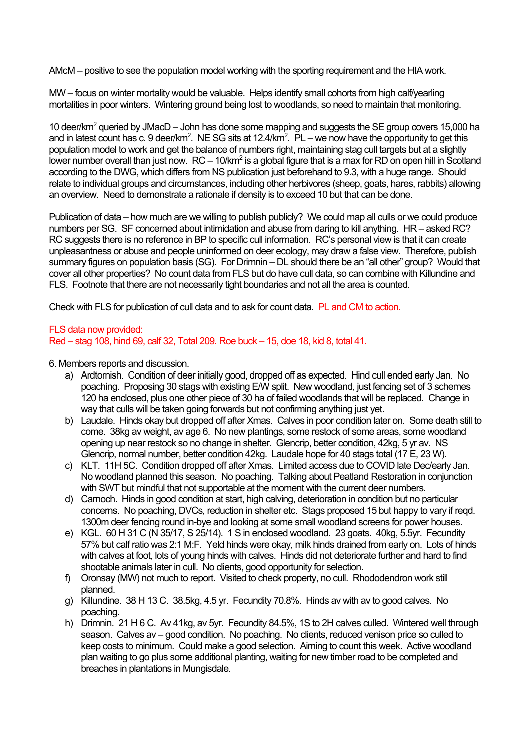AMcM – positive to see the population model working with the sporting requirement and the HIA work.

MW – focus on winter mortality would be valuable. Helps identify small cohorts from high calf/yearling mortalities in poor winters. Wintering ground being lost to woodlands, so need to maintain that monitoring.

10 deer/km<sup>2</sup> queried by JMacD – John has done some mapping and suggests the SE group covers 15,000 ha and in latest count has c. 9 deer/km<sup>2</sup>. NE SG sits at 12.4/km<sup>2</sup>. PL – we now have the opportunity to get this population model to work and get the balance of numbers right, maintaining stag cull targets but at a slightly lower number overall than just now.  $RC - 10/km^2$  is a global figure that is a max for RD on open hill in Scotland according to the DWG, which differs from NS publication just beforehand to 9.3, with a huge range. Should relate to individual groups and circumstances, including other herbivores (sheep, goats, hares, rabbits) allowing an overview. Need to demonstrate a rationale if density is to exceed 10 but that can be done.

Publication of data – how much are we willing to publish publicly? We could map all culls or we could produce numbers per SG. SF concerned about intimidation and abuse from daring to kill anything. HR – asked RC? RC suggests there is no reference in BP to specific cull information. RC's personal view is that it can create unpleasantness or abuse and people uninformed on deer ecology, may draw a false view. Therefore, publish summary figures on population basis (SG). For Drimnin – DL should there be an "all other" group? Would that cover all other properties? No count data from FLS but do have cull data, so can combine with Killundine and FLS. Footnote that there are not necessarily tight boundaries and not all the area is counted.

Check with FLS for publication of cull data and to ask for count data. PL and CM to action.

#### FLS data now provided: Red – stag 108, hind 69, calf 32, Total 209. Roe buck – 15, doe 18, kid 8, total 41.

6. Members reports and discussion.

- a) Ardtornish. Condition of deer initially good, dropped off as expected. Hind cull ended early Jan. No poaching. Proposing 30 stags with existing E/W split. New woodland, just fencing set of 3 schemes 120 ha enclosed, plus one other piece of 30 ha of failed woodlands that will be replaced. Change in way that culls will be taken going forwards but not confirming anything just yet.
- b) Laudale. Hinds okay but dropped off after Xmas. Calves in poor condition later on. Some death still to come. 38kg av weight, av age 6. No new plantings, some restock of some areas, some woodland opening up near restock so no change in shelter. Glencrip, better condition, 42kg, 5 yr av. NS Glencrip, normal number, better condition 42kg. Laudale hope for 40 stags total (17 E, 23 W).
- c) KLT. 11H 5C. Condition dropped off after Xmas. Limited access due to COVID late Dec/early Jan. No woodland planned this season. No poaching. Talking about Peatland Restoration in conjunction with SWT but mindful that not supportable at the moment with the current deer numbers.
- d) Carnoch. Hinds in good condition at start, high calving, deterioration in condition but no particular concerns. No poaching, DVCs, reduction in shelter etc. Stags proposed 15 but happy to vary if reqd. 1300m deer fencing round in-bye and looking at some small woodland screens for power houses.
- e) KGL. 60 H 31 C (N 35/17, S 25/14). 1 S in enclosed woodland. 23 goats. 40kg, 5.5yr. Fecundity 57% but calf ratio was 2:1 M:F. Yeld hinds were okay, milk hinds drained from early on. Lots of hinds with calves at foot, lots of young hinds with calves. Hinds did not deteriorate further and hard to find shootable animals later in cull. No clients, good opportunity for selection.
- f) Oronsay (MW) not much to report. Visited to check property, no cull. Rhododendron work still planned.
- g) Killundine. 38 H 13 C. 38.5kg, 4.5 yr. Fecundity 70.8%. Hinds av with av to good calves. No poaching.
- h) Drimnin. 21 H 6 C. Av 41kg, av 5yr. Fecundity 84.5%, 1S to 2H calves culled. Wintered well through season. Calves av – good condition. No poaching. No clients, reduced venison price so culled to keep costs to minimum. Could make a good selection. Aiming to count this week. Active woodland plan waiting to go plus some additional planting, waiting for new timber road to be completed and breaches in plantations in Mungisdale.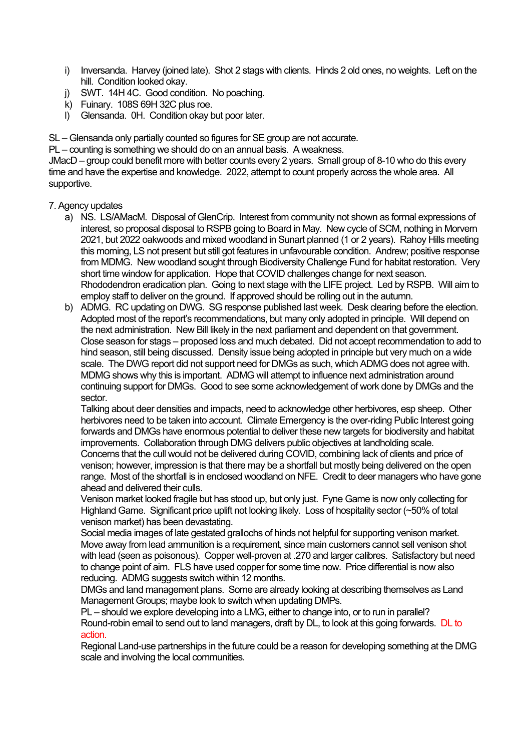- i) Inversanda. Harvey (joined late). Shot 2 stags with clients. Hinds 2 old ones, no weights. Left on the hill. Condition looked okay.
- j) SWT. 14H 4C. Good condition. No poaching.
- $k$ ) Fuinary. 108S 69H 32C plus roe.
- l) Glensanda. 0H. Condition okay but poor later.

SL – Glensanda only partially counted so figures for SE group are not accurate.

PL – counting is something we should do on an annual basis. A weakness.

JMacD – group could benefit more with better counts every 2 years. Small group of 8-10 who do this every time and have the expertise and knowledge. 2022, attempt to count properly across the whole area. All supportive.

# 7. Agency updates

- a) NS. LS/AMacM. Disposal of GlenCrip. Interest from community not shown as formal expressions of interest, so proposal disposal to RSPB going to Board in May. New cycle of SCM, nothing in Morvern 2021, but 2022 oakwoods and mixed woodland in Sunart planned (1 or 2 years). Rahoy Hills meeting this morning, LS not present but still got features in unfavourable condition. Andrew; positive response from MDMG. New woodland sought through Biodiversity Challenge Fund for habitat restoration. Very short time window for application. Hope that COVID challenges change for next season. Rhododendron eradication plan. Going to next stage with the LIFE project. Led by RSPB. Will aim to employ staff to deliver on the ground. If approved should be rolling out in the autumn.
- b) ADMG. RC updating on DWG. SG response published last week. Desk clearing before the election. Adopted most of the report's recommendations, but many only adopted in principle. Will depend on the next administration. New Bill likely in the next parliament and dependent on that government. Close season for stags – proposed loss and much debated. Did not accept recommendation to add to hind season, still being discussed. Density issue being adopted in principle but very much on a wide scale. The DWG report did not support need for DMGs as such, which ADMG does not agree with. MDMG shows why this is important. ADMG will attempt to influence next administration around continuing support for DMGs. Good to see some acknowledgement of work done by DMGs and the sector.

Talking about deer densities and impacts, need to acknowledge other herbivores, esp sheep. Other herbivores need to be taken into account. Climate Emergency is the over-riding Public Interest going forwards and DMGs have enormous potential to deliver these new targets for biodiversity and habitat improvements. Collaboration through DMG delivers public objectives at landholding scale. Concerns that the cull would not be delivered during COVID, combining lack of clients and price of venison; however, impression is that there may be a shortfall but mostly being delivered on the open range. Most of the shortfall is in enclosed woodland on NFE. Credit to deer managers who have gone ahead and delivered their culls.

Venison market looked fragile but has stood up, but only just. Fyne Game is now only collecting for Highland Game. Significant price uplift not looking likely. Loss of hospitality sector (~50% of total venison market) has been devastating.

Social media images of late gestated grallochs of hinds not helpful for supporting venison market. Move away from lead ammunition is a requirement, since main customers cannot sell venison shot with lead (seen as poisonous). Copper well-proven at .270 and larger calibres. Satisfactory but need to change point of aim. FLS have used copper for some time now. Price differential is now also reducing. ADMG suggests switch within 12 months.

DMGs and land management plans. Some are already looking at describing themselves as Land Management Groups; maybe look to switch when updating DMPs.

PL – should we explore developing into a LMG, either to change into, or to run in parallel? Round-robin email to send out to land managers, draft by DL, to look at this going forwards. DL to action.

Regional Land-use partnerships in the future could be a reason for developing something at the DMG scale and involving the local communities.